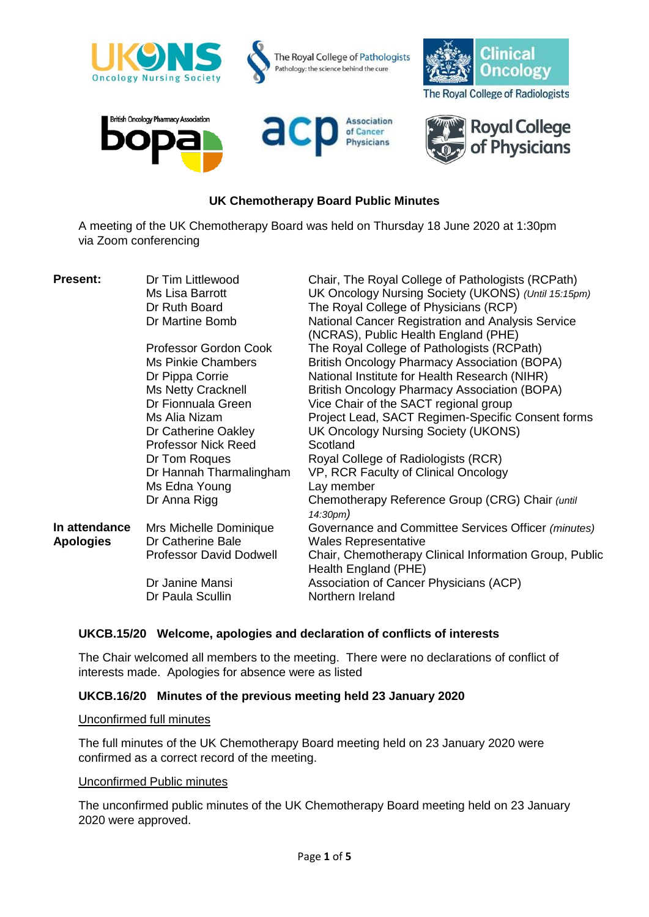

# **UK Chemotherapy Board Public Minutes**

A meeting of the UK Chemotherapy Board was held on Thursday 18 June 2020 at 1:30pm via Zoom conferencing

| <b>Present:</b>  | Dr Tim Littlewood<br>Ms Lisa Barrott | Chair, The Royal College of Pathologists (RCPath)<br>UK Oncology Nursing Society (UKONS) (Until 15:15pm) |
|------------------|--------------------------------------|----------------------------------------------------------------------------------------------------------|
|                  | Dr Ruth Board                        | The Royal College of Physicians (RCP)                                                                    |
|                  | Dr Martine Bomb                      | National Cancer Registration and Analysis Service<br>(NCRAS), Public Health England (PHE)                |
|                  | Professor Gordon Cook                | The Royal College of Pathologists (RCPath)                                                               |
|                  | <b>Ms Pinkie Chambers</b>            | <b>British Oncology Pharmacy Association (BOPA)</b>                                                      |
|                  | Dr Pippa Corrie                      | National Institute for Health Research (NIHR)                                                            |
|                  | Ms Netty Cracknell                   | <b>British Oncology Pharmacy Association (BOPA)</b>                                                      |
|                  | Dr Fionnuala Green                   | Vice Chair of the SACT regional group                                                                    |
|                  | Ms Alia Nizam                        | Project Lead, SACT Regimen-Specific Consent forms                                                        |
|                  | Dr Catherine Oakley                  | UK Oncology Nursing Society (UKONS)                                                                      |
|                  | <b>Professor Nick Reed</b>           | Scotland                                                                                                 |
|                  | Dr Tom Roques                        | Royal College of Radiologists (RCR)                                                                      |
|                  | Dr Hannah Tharmalingham              | VP, RCR Faculty of Clinical Oncology                                                                     |
|                  | Ms Edna Young                        | Lay member                                                                                               |
|                  | Dr Anna Rigg                         | Chemotherapy Reference Group (CRG) Chair (until<br>14:30pm)                                              |
| In attendance    | Mrs Michelle Dominique               | Governance and Committee Services Officer (minutes)                                                      |
| <b>Apologies</b> | Dr Catherine Bale                    | <b>Wales Representative</b>                                                                              |
|                  | <b>Professor David Dodwell</b>       | Chair, Chemotherapy Clinical Information Group, Public<br>Health England (PHE)                           |
|                  | Dr Janine Mansi                      | Association of Cancer Physicians (ACP)                                                                   |
|                  | Dr Paula Scullin                     | Northern Ireland                                                                                         |
|                  |                                      |                                                                                                          |

## **UKCB.15/20 Welcome, apologies and declaration of conflicts of interests**

The Chair welcomed all members to the meeting. There were no declarations of conflict of interests made. Apologies for absence were as listed

## **UKCB.16/20 Minutes of the previous meeting held 23 January 2020**

#### Unconfirmed full minutes

The full minutes of the UK Chemotherapy Board meeting held on 23 January 2020 were confirmed as a correct record of the meeting.

## Unconfirmed Public minutes

The unconfirmed public minutes of the UK Chemotherapy Board meeting held on 23 January 2020 were approved.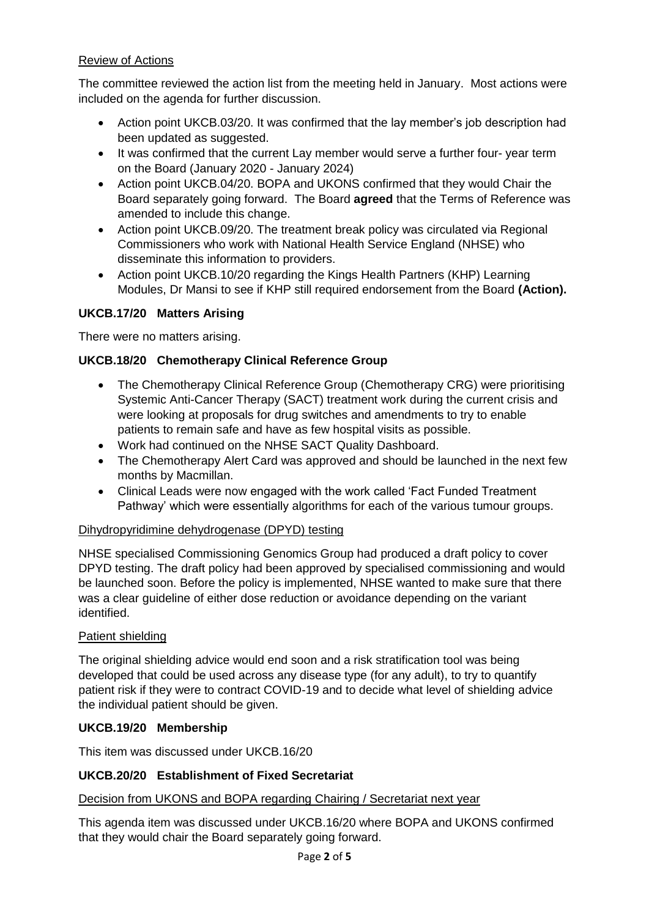# Review of Actions

The committee reviewed the action list from the meeting held in January. Most actions were included on the agenda for further discussion.

- Action point UKCB.03/20. It was confirmed that the lay member's job description had been updated as suggested.
- It was confirmed that the current Lay member would serve a further four- year term on the Board (January 2020 - January 2024)
- Action point UKCB.04/20. BOPA and UKONS confirmed that they would Chair the Board separately going forward. The Board **agreed** that the Terms of Reference was amended to include this change.
- Action point UKCB.09/20. The treatment break policy was circulated via Regional Commissioners who work with National Health Service England (NHSE) who disseminate this information to providers.
- Action point UKCB.10/20 regarding the Kings Health Partners (KHP) Learning Modules, Dr Mansi to see if KHP still required endorsement from the Board **(Action).**

# **UKCB.17/20 Matters Arising**

There were no matters arising.

# **UKCB.18/20 Chemotherapy Clinical Reference Group**

- The Chemotherapy Clinical Reference Group (Chemotherapy CRG) were prioritising Systemic Anti-Cancer Therapy (SACT) treatment work during the current crisis and were looking at proposals for drug switches and amendments to try to enable patients to remain safe and have as few hospital visits as possible.
- Work had continued on the NHSE SACT Quality Dashboard.
- The Chemotherapy Alert Card was approved and should be launched in the next few months by Macmillan.
- Clinical Leads were now engaged with the work called 'Fact Funded Treatment Pathway' which were essentially algorithms for each of the various tumour groups.

# Dihydropyridimine dehydrogenase (DPYD) testing

NHSE specialised Commissioning Genomics Group had produced a draft policy to cover DPYD testing. The draft policy had been approved by specialised commissioning and would be launched soon. Before the policy is implemented, NHSE wanted to make sure that there was a clear guideline of either dose reduction or avoidance depending on the variant identified.

# Patient shielding

The original shielding advice would end soon and a risk stratification tool was being developed that could be used across any disease type (for any adult), to try to quantify patient risk if they were to contract COVID-19 and to decide what level of shielding advice the individual patient should be given.

# **UKCB.19/20 Membership**

This item was discussed under UKCB.16/20

## **UKCB.20/20 Establishment of Fixed Secretariat**

## Decision from UKONS and BOPA regarding Chairing / Secretariat next year

This agenda item was discussed under UKCB.16/20 where BOPA and UKONS confirmed that they would chair the Board separately going forward.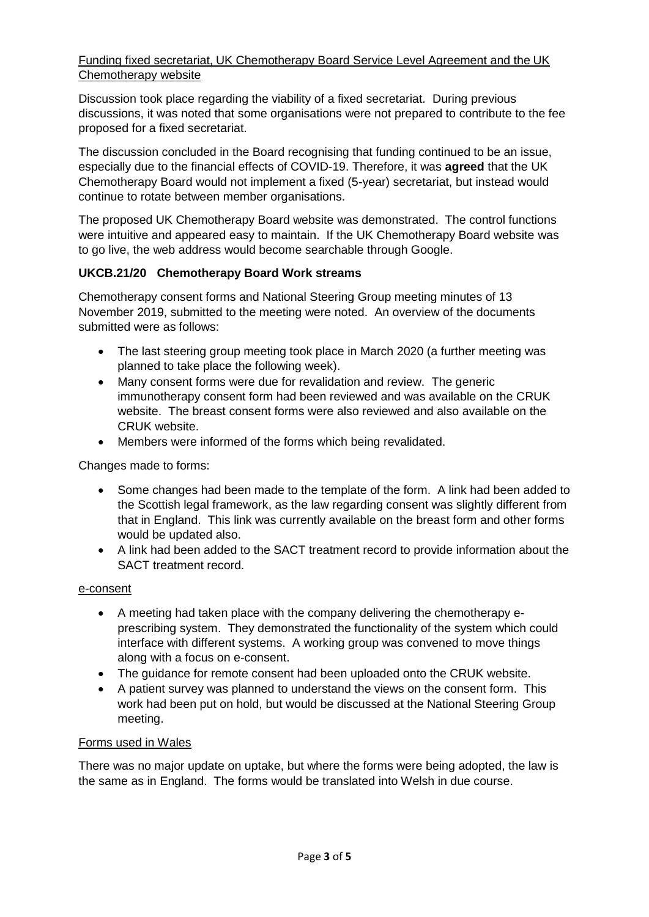# Funding fixed secretariat, UK Chemotherapy Board Service Level Agreement and the UK Chemotherapy website

Discussion took place regarding the viability of a fixed secretariat. During previous discussions, it was noted that some organisations were not prepared to contribute to the fee proposed for a fixed secretariat.

The discussion concluded in the Board recognising that funding continued to be an issue, especially due to the financial effects of COVID-19. Therefore, it was **agreed** that the UK Chemotherapy Board would not implement a fixed (5-year) secretariat, but instead would continue to rotate between member organisations.

The proposed UK Chemotherapy Board website was demonstrated. The control functions were intuitive and appeared easy to maintain. If the UK Chemotherapy Board website was to go live, the web address would become searchable through Google.

# **UKCB.21/20 Chemotherapy Board Work streams**

Chemotherapy consent forms and National Steering Group meeting minutes of 13 November 2019, submitted to the meeting were noted. An overview of the documents submitted were as follows:

- The last steering group meeting took place in March 2020 (a further meeting was planned to take place the following week).
- Many consent forms were due for revalidation and review. The generic immunotherapy consent form had been reviewed and was available on the CRUK website. The breast consent forms were also reviewed and also available on the CRUK website.
- Members were informed of the forms which being revalidated.

Changes made to forms:

- Some changes had been made to the template of the form. A link had been added to the Scottish legal framework, as the law regarding consent was slightly different from that in England. This link was currently available on the breast form and other forms would be updated also.
- A link had been added to the SACT treatment record to provide information about the SACT treatment record.

## e-consent

- A meeting had taken place with the company delivering the chemotherapy eprescribing system. They demonstrated the functionality of the system which could interface with different systems. A working group was convened to move things along with a focus on e-consent.
- The guidance for remote consent had been uploaded onto the CRUK website.
- A patient survey was planned to understand the views on the consent form. This work had been put on hold, but would be discussed at the National Steering Group meeting.

## Forms used in Wales

There was no major update on uptake, but where the forms were being adopted, the law is the same as in England. The forms would be translated into Welsh in due course.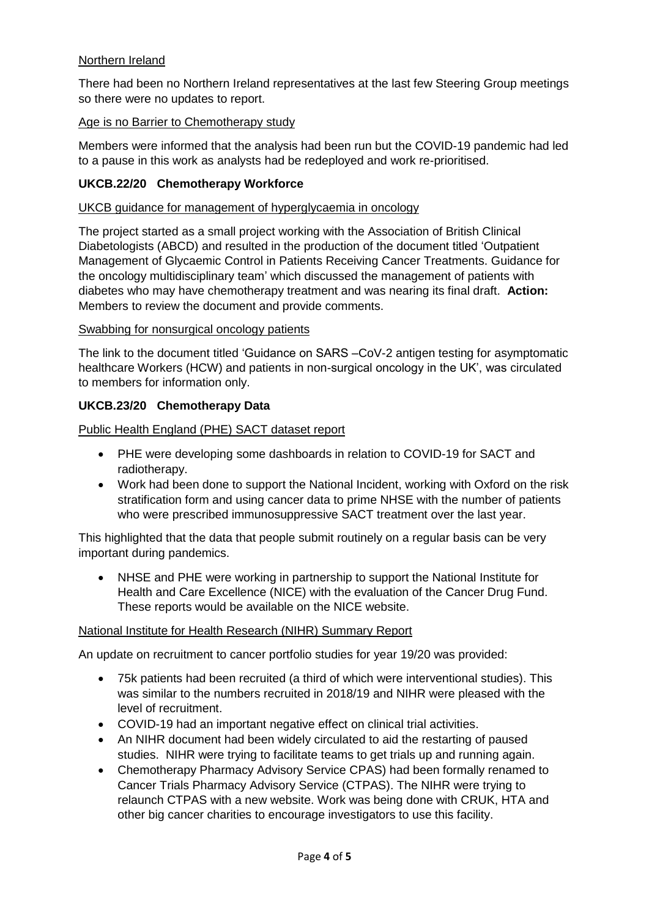# Northern Ireland

There had been no Northern Ireland representatives at the last few Steering Group meetings so there were no updates to report.

# Age is no Barrier to Chemotherapy study

Members were informed that the analysis had been run but the COVID-19 pandemic had led to a pause in this work as analysts had be redeployed and work re-prioritised.

# **UKCB.22/20 Chemotherapy Workforce**

## UKCB guidance for management of hyperglycaemia in oncology

The project started as a small project working with the Association of British Clinical Diabetologists (ABCD) and resulted in the production of the document titled 'Outpatient Management of Glycaemic Control in Patients Receiving Cancer Treatments. Guidance for the oncology multidisciplinary team' which discussed the management of patients with diabetes who may have chemotherapy treatment and was nearing its final draft. **Action:**  Members to review the document and provide comments.

## Swabbing for nonsurgical oncology patients

The link to the document titled 'Guidance on SARS –CoV-2 antigen testing for asymptomatic healthcare Workers (HCW) and patients in non-surgical oncology in the UK', was circulated to members for information only.

# **UKCB.23/20 Chemotherapy Data**

Public Health England (PHE) SACT dataset report

- PHE were developing some dashboards in relation to COVID-19 for SACT and radiotherapy.
- Work had been done to support the National Incident, working with Oxford on the risk stratification form and using cancer data to prime NHSE with the number of patients who were prescribed immunosuppressive SACT treatment over the last year.

This highlighted that the data that people submit routinely on a regular basis can be very important during pandemics.

 NHSE and PHE were working in partnership to support the National Institute for Health and Care Excellence (NICE) with the evaluation of the Cancer Drug Fund. These reports would be available on the NICE website.

## National Institute for Health Research (NIHR) Summary Report

An update on recruitment to cancer portfolio studies for year 19/20 was provided:

- 75k patients had been recruited (a third of which were interventional studies). This was similar to the numbers recruited in 2018/19 and NIHR were pleased with the level of recruitment.
- COVID-19 had an important negative effect on clinical trial activities.
- An NIHR document had been widely circulated to aid the restarting of paused studies. NIHR were trying to facilitate teams to get trials up and running again.
- Chemotherapy Pharmacy Advisory Service CPAS) had been formally renamed to Cancer Trials Pharmacy Advisory Service (CTPAS). The NIHR were trying to relaunch CTPAS with a new website. Work was being done with CRUK, HTA and other big cancer charities to encourage investigators to use this facility.